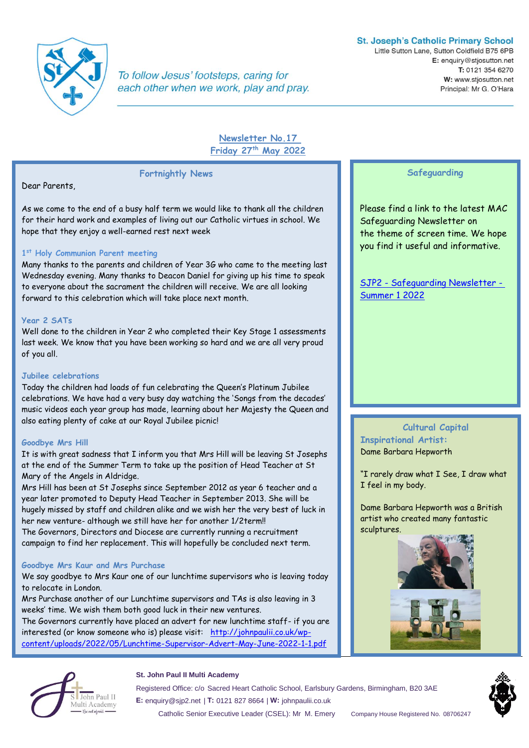

To follow Jesus' footsteps, caring for each other when we work, play and pray.

# **St. Joseph's Catholic Primary School**

Little Sutton Lane, Sutton Coldfield B75 6PB E: enquiry@stjosutton.net T: 0121 354 6270 W: www.stjosutton.net Principal: Mr G. O'Hara

# **Newsletter No.17 Friday 27th May 2022**

Dear Parents,

As we come to the end of a busy half term we would like to thank all the children for their hard work and examples of living out our Catholic virtues in school. We hope that they enjoy a well-earned rest next week

**Fortnightly News**

# **1 st Holy Communion Parent meeting**

Many thanks to the parents and children of Year 3G who came to the meeting last Wednesday evening. Many thanks to Deacon Daniel for giving up his time to speak to everyone about the sacrament the children will receive. We are all looking forward to this celebration which will take place next month.

## **Year 2 SATs**

Well done to the children in Year 2 who completed their Key Stage 1 assessments last week. We know that you have been working so hard and we are all very proud of you all.

#### **Jubilee celebrations**

Today the children had loads of fun celebrating the Queen's Platinum Jubilee celebrations. We have had a very busy day watching the 'Songs from the decades' music videos each year group has made, learning about her Majesty the Queen and also eating plenty of cake at our Royal Jubilee picnic!

# **Goodbye Mrs Hill**

It is with great sadness that I inform you that Mrs Hill will be leaving St Josephs at the end of the Summer Term to take up the position of Head Teacher at St Mary of the Angels in Aldridge.

Mrs Hill has been at St Josephs since September 2012 as year 6 teacher and a year later promoted to Deputy Head Teacher in September 2013. She will be hugely missed by staff and children alike and we wish her the very best of luck in her new venture- although we still have her for another 1/2term!!

The Governors, Directors and Diocese are currently running a recruitment campaign to find her replacement. This will hopefully be concluded next term.

# **Goodbye Mrs Kaur and Mrs Purchase**

We say goodbye to Mrs Kaur one of our lunchtime supervisors who is leaving today to relocate in London.

Mrs Purchase another of our Lunchtime supervisors and TAs is also leaving in 3 weeks' time. We wish them both good luck in their new ventures.

The Governors currently have placed an advert for new lunchtime staff- if you are interested (or know someone who is) please visit: [http://johnpaulii.co.uk/wp](http://johnpaulii.co.uk/wp-content/uploads/2022/05/Lunchtime-Supervisor-Advert-May-June-2022-1-1.pdf)[content/uploads/2022/05/Lunchtime-Supervisor-Advert-May-June-2022-1-1.pdf](http://johnpaulii.co.uk/wp-content/uploads/2022/05/Lunchtime-Supervisor-Advert-May-June-2022-1-1.pdf)

# **Safeguarding**

Please find a link to the latest MAC Safeguarding Newsletter on the theme of screen time. We hope you find it useful and informative.

SJP2 - [Safeguarding Newsletter -](https://sway.office.com/P0tzalsXSqfviZZS?ref=Link) [Summer 1 2022](https://sway.office.com/P0tzalsXSqfviZZS?ref=Link)

# **Cultural Capital Inspirational Artist:**  Dame Barbara Hepworth

"I rarely draw what I See, I draw what I feel in my body.

Dame Barbara Hepworth was a British artist who created many fantastic sculptures.





#### **St. John Paul II Multi Academy**

Registered Office: c/o Sacred Heart Catholic School, Earlsbury Gardens, Birmingham, B20 3AE **E:** enquiry@sjp2.net | **T:** 0121 827 8664 | **W:** johnpaulii.co.uk

Catholic Senior Executive Leader (CSEL): Mr M. Emery Company House Registered No. 08706247

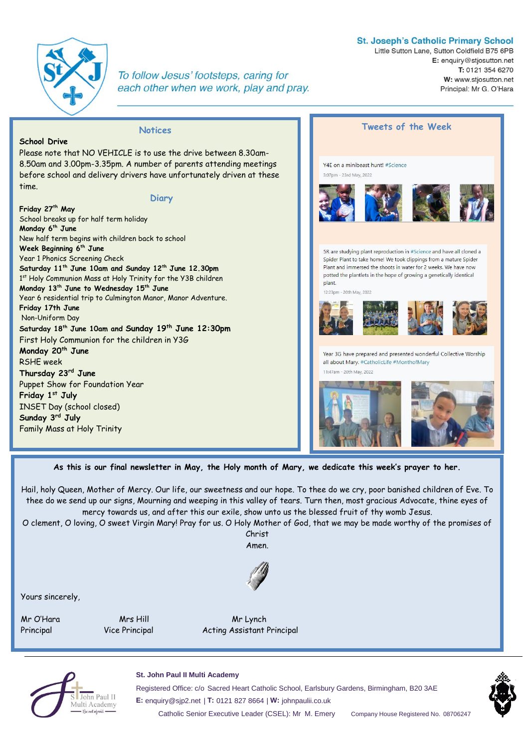

**School Drive** 

**Friday 27th May**

**Monday 6th June**

**Friday 17th June** Non-Uniform Day

**Monday 20th June**  RSHE week

**Thursday 23rd June** 

**Friday 1st July**

**Sunday 3rd July**

Puppet Show for Foundation Year

INSET Day (school closed)

Family Mass at Holy Trinity

**Week Beginning 6 th June** Year 1 Phonics Screening Check

School breaks up for half term holiday

**Monday 13th June to Wednesday 15th June**

time.

To follow Jesus' footsteps, caring for each other when we work, play and pray.

**Notices** 

**Diary** 

### **St. Joseph's Catholic Primary School**

Little Sutton Lane, Sutton Coldfield B75 6PB E: enquiry@stjosutton.net T: 0121 354 6270 W: www.stjosutton.net Principal: Mr G. O'Hara



Hail, holy Queen, Mother of Mercy. Our life, our sweetness and our hope. To thee do we cry, poor banished children of Eve. To thee do we send up our signs, Mourning and weeping in this valley of tears. Turn then, most gracious Advocate, thine eyes of mercy towards us, and after this our exile, show unto us the blessed fruit of thy womb Jesus.

O clement, O loving, O sweet Virgin Mary! Pray for us. O Holy Mother of God, that we may be made worthy of the promises of Christ

Amen.



Yours sincerely,

Mr O'Hara Mrs Hill Mrs Hill Mr Lynch

Principal Vice Principal Acting Assistant Principal



### **St. John Paul II Multi Academy**

Registered Office: c/o Sacred Heart Catholic School, Earlsbury Gardens, Birmingham, B20 3AE **E:** enquiry@sjp2.net | **T:** 0121 827 8664 | **W:** johnpaulii.co.uk Catholic Senior Executive Leader (CSEL): Mr M. Emery Company House Registered No. 08706247